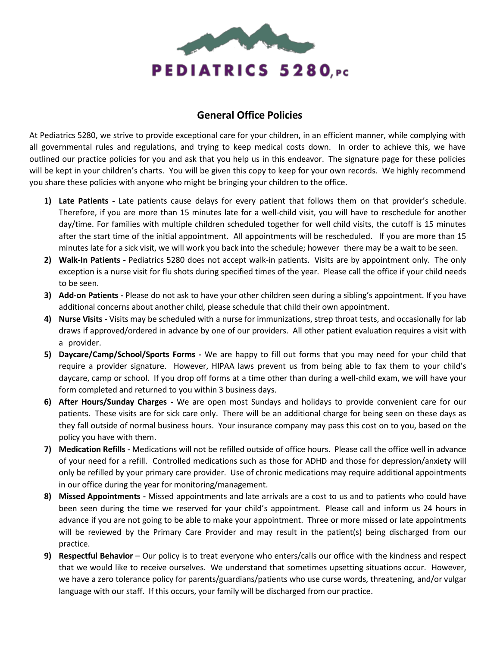

## **General Office Policies**

At Pediatrics 5280, we strive to provide exceptional care for your children, in an efficient manner, while complying with all governmental rules and regulations, and trying to keep medical costs down. In order to achieve this, we have outlined our practice policies for you and ask that you help us in this endeavor. The signature page for these policies will be kept in your children's charts. You will be given this copy to keep for your own records. We highly recommend you share these policies with anyone who might be bringing your children to the office.

- **1) Late Patients -** Late patients cause delays for every patient that follows them on that provider's schedule. Therefore, if you are more than 15 minutes late for a well-child visit, you will have to reschedule for another day/time. For families with multiple children scheduled together for well child visits, the cutoff is 15 minutes after the start time of the initial appointment. All appointments will be rescheduled. If you are more than 15 minutes late for a sick visit, we will work you back into the schedule; however there may be a wait to be seen.
- **2) Walk-In Patients -** Pediatrics 5280 does not accept walk-in patients. Visits are by appointment only. The only exception is a nurse visit for flu shots during specified times of the year. Please call the office if your child needs to be seen.
- **3) Add-on Patients -** Please do not ask to have your other children seen during a sibling's appointment. If you have additional concerns about another child, please schedule that child their own appointment.
- **4) Nurse Visits -** Visits may be scheduled with a nurse for immunizations, strep throat tests, and occasionally for lab draws if approved/ordered in advance by one of our providers. All other patient evaluation requires a visit with a provider.
- **5) Daycare/Camp/School/Sports Forms -** We are happy to fill out forms that you may need for your child that require a provider signature. However, HIPAA laws prevent us from being able to fax them to your child's daycare, camp or school. If you drop off forms at a time other than during a well-child exam, we will have your form completed and returned to you within 3 business days.
- **6) After Hours/Sunday Charges -** We are open most Sundays and holidays to provide convenient care for our patients. These visits are for sick care only. There will be an additional charge for being seen on these days as they fall outside of normal business hours. Your insurance company may pass this cost on to you, based on the policy you have with them.
- **7) Medication Refills -** Medications will not be refilled outside of office hours. Please call the office well in advance of your need for a refill. Controlled medications such as those for ADHD and those for depression/anxiety will only be refilled by your primary care provider. Use of chronic medications may require additional appointments in our office during the year for monitoring/management.
- **8) Missed Appointments -** Missed appointments and late arrivals are a cost to us and to patients who could have been seen during the time we reserved for your child's appointment. Please call and inform us 24 hours in advance if you are not going to be able to make your appointment. Three or more missed or late appointments will be reviewed by the Primary Care Provider and may result in the patient(s) being discharged from our practice.
- **9) Respectful Behavior**  Our policy is to treat everyone who enters/calls our office with the kindness and respect that we would like to receive ourselves. We understand that sometimes upsetting situations occur. However, we have a zero tolerance policy for parents/guardians/patients who use curse words, threatening, and/or vulgar language with our staff. If this occurs, your family will be discharged from our practice.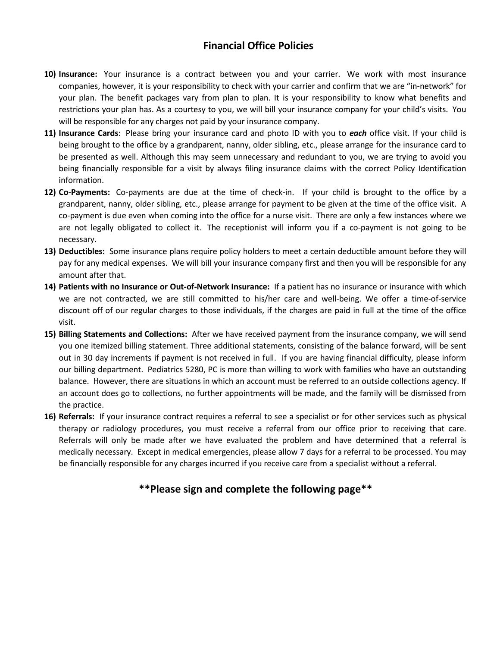## **Financial Office Policies**

- **10) Insurance:** Your insurance is a contract between you and your carrier. We work with most insurance companies, however, it is your responsibility to check with your carrier and confirm that we are "in-network" for your plan. The benefit packages vary from plan to plan. It is your responsibility to know what benefits and restrictions your plan has. As a courtesy to you, we will bill your insurance company for your child's visits. You will be responsible for any charges not paid by your insurance company.
- **11) Insurance Cards**: Please bring your insurance card and photo ID with you to *each* office visit. If your child is being brought to the office by a grandparent, nanny, older sibling, etc., please arrange for the insurance card to be presented as well. Although this may seem unnecessary and redundant to you, we are trying to avoid you being financially responsible for a visit by always filing insurance claims with the correct Policy Identification information.
- **12) Co-Payments:** Co-payments are due at the time of check-in. If your child is brought to the office by a grandparent, nanny, older sibling, etc., please arrange for payment to be given at the time of the office visit. A co-payment is due even when coming into the office for a nurse visit. There are only a few instances where we are not legally obligated to collect it. The receptionist will inform you if a co-payment is not going to be necessary.
- **13) Deductibles:** Some insurance plans require policy holders to meet a certain deductible amount before they will pay for any medical expenses. We will bill your insurance company first and then you will be responsible for any amount after that.
- **14) Patients with no Insurance or Out-of-Network Insurance:** If a patient has no insurance or insurance with which we are not contracted, we are still committed to his/her care and well-being. We offer a time-of-service discount off of our regular charges to those individuals, if the charges are paid in full at the time of the office visit.
- **15) Billing Statements and Collections:** After we have received payment from the insurance company, we will send you one itemized billing statement. Three additional statements, consisting of the balance forward, will be sent out in 30 day increments if payment is not received in full. If you are having financial difficulty, please inform our billing department. Pediatrics 5280, PC is more than willing to work with families who have an outstanding balance. However, there are situations in which an account must be referred to an outside collections agency. If an account does go to collections, no further appointments will be made, and the family will be dismissed from the practice.
- **16) Referrals:** If your insurance contract requires a referral to see a specialist or for other services such as physical therapy or radiology procedures, you must receive a referral from our office prior to receiving that care. Referrals will only be made after we have evaluated the problem and have determined that a referral is medically necessary. Except in medical emergencies, please allow 7 days for a referral to be processed. You may be financially responsible for any charges incurred if you receive care from a specialist without a referral.

## **\*\*Please sign and complete the following page\*\***